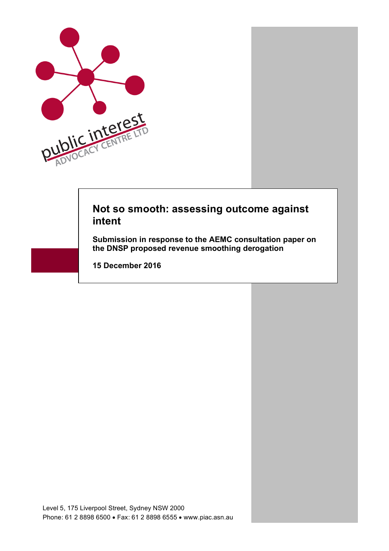

# **Not so smooth: assessing outcome against intent**

**Submission in response to the AEMC consultation paper on the DNSP proposed revenue smoothing derogation** 

**15 December 2016**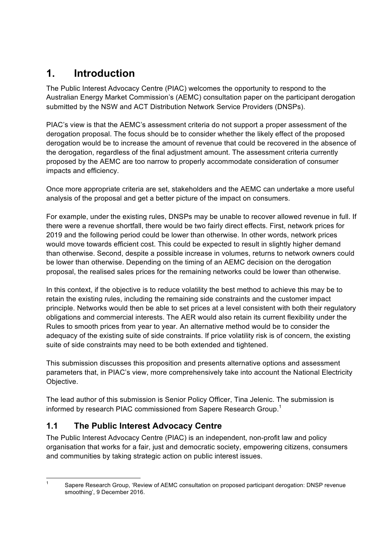# **1. Introduction**

The Public Interest Advocacy Centre (PIAC) welcomes the opportunity to respond to the Australian Energy Market Commission's (AEMC) consultation paper on the participant derogation submitted by the NSW and ACT Distribution Network Service Providers (DNSPs).

PIAC's view is that the AEMC's assessment criteria do not support a proper assessment of the derogation proposal. The focus should be to consider whether the likely effect of the proposed derogation would be to increase the amount of revenue that could be recovered in the absence of the derogation, regardless of the final adjustment amount. The assessment criteria currently proposed by the AEMC are too narrow to properly accommodate consideration of consumer impacts and efficiency.

Once more appropriate criteria are set, stakeholders and the AEMC can undertake a more useful analysis of the proposal and get a better picture of the impact on consumers.

For example, under the existing rules, DNSPs may be unable to recover allowed revenue in full. If there were a revenue shortfall, there would be two fairly direct effects. First, network prices for 2019 and the following period could be lower than otherwise. In other words, network prices would move towards efficient cost. This could be expected to result in slightly higher demand than otherwise. Second, despite a possible increase in volumes, returns to network owners could be lower than otherwise. Depending on the timing of an AEMC decision on the derogation proposal, the realised sales prices for the remaining networks could be lower than otherwise.

In this context, if the objective is to reduce volatility the best method to achieve this may be to retain the existing rules, including the remaining side constraints and the customer impact principle. Networks would then be able to set prices at a level consistent with both their regulatory obligations and commercial interests. The AER would also retain its current flexibility under the Rules to smooth prices from year to year. An alternative method would be to consider the adequacy of the existing suite of side constraints. If price volatility risk is of concern, the existing suite of side constraints may need to be both extended and tightened.

This submission discusses this proposition and presents alternative options and assessment parameters that, in PIAC's view, more comprehensively take into account the National Electricity Objective.

The lead author of this submission is Senior Policy Officer, Tina Jelenic. The submission is informed by research PIAC commissioned from Sapere Research Group.<sup>1</sup>

## **1.1 The Public Interest Advocacy Centre**

The Public Interest Advocacy Centre (PIAC) is an independent, non-profit law and policy organisation that works for a fair, just and democratic society, empowering citizens, consumers and communities by taking strategic action on public interest issues.

 <sup>1</sup> Sapere Research Group, 'Review of AEMC consultation on proposed participant derogation: DNSP revenue smoothing', 9 December 2016.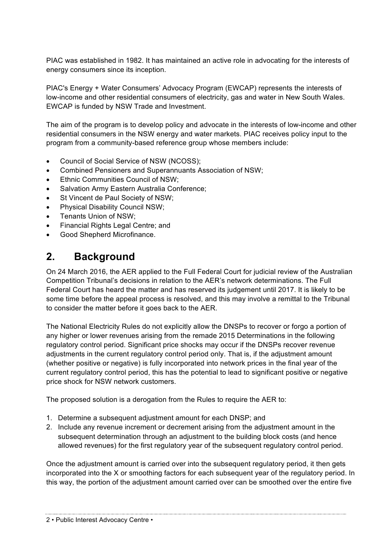PIAC was established in 1982. It has maintained an active role in advocating for the interests of energy consumers since its inception.

PIAC's Energy + Water Consumers' Advocacy Program (EWCAP) represents the interests of low-income and other residential consumers of electricity, gas and water in New South Wales. EWCAP is funded by NSW Trade and Investment.

The aim of the program is to develop policy and advocate in the interests of low-income and other residential consumers in the NSW energy and water markets. PIAC receives policy input to the program from a community-based reference group whose members include:

- Council of Social Service of NSW (NCOSS);
- Combined Pensioners and Superannuants Association of NSW;
- Ethnic Communities Council of NSW:
- Salvation Army Eastern Australia Conference;
- St Vincent de Paul Society of NSW:
- Physical Disability Council NSW;
- Tenants Union of NSW;
- Financial Rights Legal Centre; and
- Good Shepherd Microfinance.

# **2. Background**

On 24 March 2016, the AER applied to the Full Federal Court for judicial review of the Australian Competition Tribunal's decisions in relation to the AER's network determinations. The Full Federal Court has heard the matter and has reserved its judgement until 2017. It is likely to be some time before the appeal process is resolved, and this may involve a remittal to the Tribunal to consider the matter before it goes back to the AER.

The National Electricity Rules do not explicitly allow the DNSPs to recover or forgo a portion of any higher or lower revenues arising from the remade 2015 Determinations in the following regulatory control period. Significant price shocks may occur if the DNSPs recover revenue adjustments in the current regulatory control period only. That is, if the adjustment amount (whether positive or negative) is fully incorporated into network prices in the final year of the current regulatory control period, this has the potential to lead to significant positive or negative price shock for NSW network customers.

The proposed solution is a derogation from the Rules to require the AER to:

1. Determine a subsequent adjustment amount for each DNSP; and

2. Include any revenue increment or decrement arising from the adjustment amount in the subsequent determination through an adjustment to the building block costs (and hence allowed revenues) for the first regulatory year of the subsequent regulatory control period.

Once the adjustment amount is carried over into the subsequent regulatory period, it then gets incorporated into the X or smoothing factors for each subsequent year of the regulatory period. In this way, the portion of the adjustment amount carried over can be smoothed over the entire five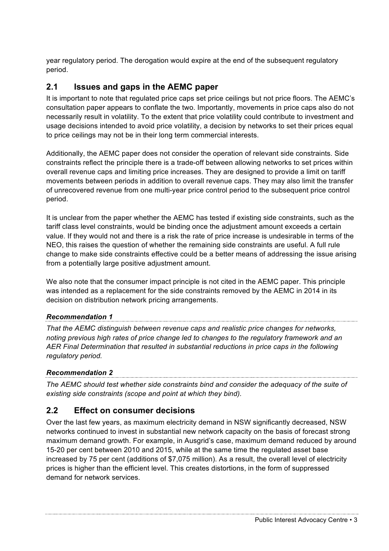year regulatory period. The derogation would expire at the end of the subsequent regulatory period.

### **2.1 Issues and gaps in the AEMC paper**

It is important to note that regulated price caps set price ceilings but not price floors. The AEMC's consultation paper appears to conflate the two. Importantly, movements in price caps also do not necessarily result in volatility. To the extent that price volatility could contribute to investment and usage decisions intended to avoid price volatility, a decision by networks to set their prices equal to price ceilings may not be in their long term commercial interests.

Additionally, the AEMC paper does not consider the operation of relevant side constraints. Side constraints reflect the principle there is a trade-off between allowing networks to set prices within overall revenue caps and limiting price increases. They are designed to provide a limit on tariff movements between periods in addition to overall revenue caps. They may also limit the transfer of unrecovered revenue from one multi-year price control period to the subsequent price control period.

It is unclear from the paper whether the AEMC has tested if existing side constraints, such as the tariff class level constraints, would be binding once the adjustment amount exceeds a certain value. If they would not and there is a risk the rate of price increase is undesirable in terms of the NEO, this raises the question of whether the remaining side constraints are useful. A full rule change to make side constraints effective could be a better means of addressing the issue arising from a potentially large positive adjustment amount.

We also note that the consumer impact principle is not cited in the AEMC paper. This principle was intended as a replacement for the side constraints removed by the AEMC in 2014 in its decision on distribution network pricing arrangements.

*Recommendation 1 That the AEMC distinguish between revenue caps and realistic price changes for networks, noting previous high rates of price change led to changes to the regulatory framework and an AER Final Determination that resulted in substantial reductions in price caps in the following regulatory period.* 

*Recommendation 2 The AEMC should test whether side constraints bind and consider the adequacy of the suite of existing side constraints (scope and point at which they bind).*

## **2.2 Effect on consumer decisions**

Over the last few years, as maximum electricity demand in NSW significantly decreased, NSW networks continued to invest in substantial new network capacity on the basis of forecast strong maximum demand growth. For example, in Ausgrid's case, maximum demand reduced by around 15-20 per cent between 2010 and 2015, while at the same time the regulated asset base increased by 75 per cent (additions of \$7,075 million). As a result, the overall level of electricity prices is higher than the efficient level. This creates distortions, in the form of suppressed demand for network services.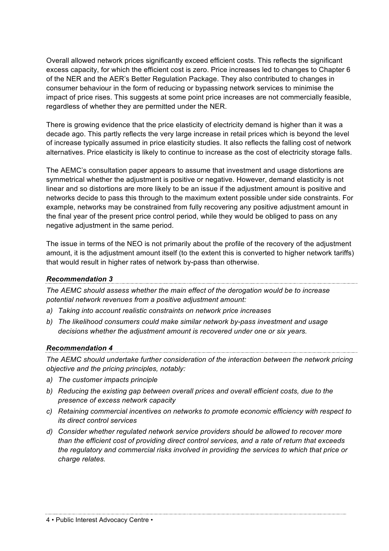Overall allowed network prices significantly exceed efficient costs. This reflects the significant excess capacity, for which the efficient cost is zero. Price increases led to changes to Chapter 6 of the NER and the AER's Better Regulation Package. They also contributed to changes in consumer behaviour in the form of reducing or bypassing network services to minimise the impact of price rises. This suggests at some point price increases are not commercially feasible. regardless of whether they are permitted under the NER.

There is growing evidence that the price elasticity of electricity demand is higher than it was a decade ago. This partly reflects the very large increase in retail prices which is beyond the level of increase typically assumed in price elasticity studies. It also reflects the falling cost of network alternatives. Price elasticity is likely to continue to increase as the cost of electricity storage falls.

The AEMC's consultation paper appears to assume that investment and usage distortions are symmetrical whether the adjustment is positive or negative. However, demand elasticity is not linear and so distortions are more likely to be an issue if the adjustment amount is positive and networks decide to pass this through to the maximum extent possible under side constraints. For example, networks may be constrained from fully recovering any positive adjustment amount in the final year of the present price control period, while they would be obliged to pass on any negative adjustment in the same period.

The issue in terms of the NEO is not primarily about the profile of the recovery of the adjustment amount, it is the adjustment amount itself (to the extent this is converted to higher network tariffs) that would result in higher rates of network by-pass than otherwise.

### *Recommendation 3*

*The AEMC should assess whether the main effect of the derogation would be to increase potential network revenues from a positive adjustment amount:*

- *a) Taking into account realistic constraints on network price increases*
- *b) The likelihood consumers could make similar network by-pass investment and usage decisions whether the adjustment amount is recovered under one or six years.*

### *Recommendation 4*

*The AEMC should undertake further consideration of the interaction between the network pricing objective and the pricing principles, notably:*

- *a) The customer impacts principle*
- *b) Reducing the existing gap between overall prices and overall efficient costs, due to the presence of excess network capacity*
- *c) Retaining commercial incentives on networks to promote economic efficiency with respect to its direct control services*
- *d) Consider whether regulated network service providers should be allowed to recover more than the efficient cost of providing direct control services, and a rate of return that exceeds the regulatory and commercial risks involved in providing the services to which that price or charge relates.*